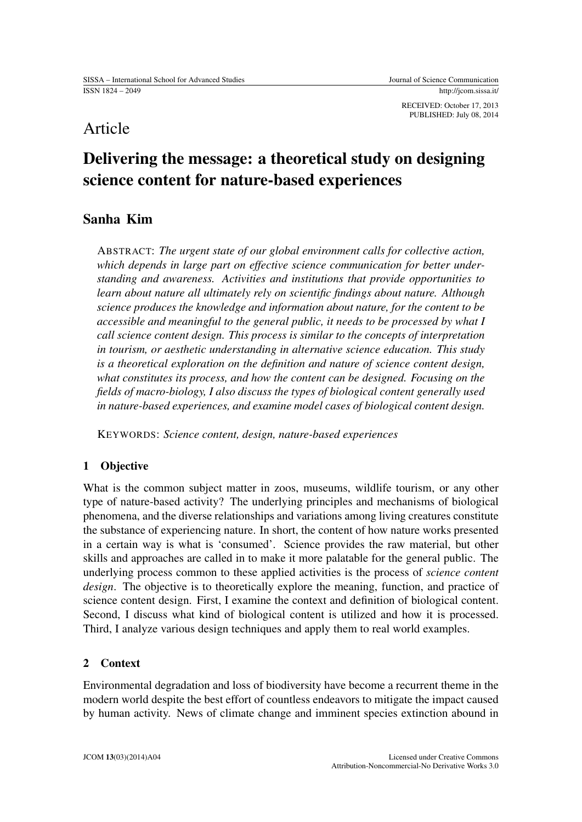RECEIVED: October 17, 2013 PUBLISHED: July 08, 2014

# Article

# Delivering the message: a theoretical study on designing science content for nature-based experiences

## Sanha Kim

ABSTRACT: *The urgent state of our global environment calls for collective action, which depends in large part on effective science communication for better understanding and awareness. Activities and institutions that provide opportunities to learn about nature all ultimately rely on scientific findings about nature. Although science produces the knowledge and information about nature, for the content to be accessible and meaningful to the general public, it needs to be processed by what I call science content design. This process is similar to the concepts of interpretation in tourism, or aesthetic understanding in alternative science education. This study is a theoretical exploration on the definition and nature of science content design, what constitutes its process, and how the content can be designed. Focusing on the fields of macro-biology, I also discuss the types of biological content generally used in nature-based experiences, and examine model cases of biological content design.*

KEYWORDS: *Science content, design, nature-based experiences*

## 1 Objective

What is the common subject matter in zoos, museums, wildlife tourism, or any other type of nature-based activity? The underlying principles and mechanisms of biological phenomena, and the diverse relationships and variations among living creatures constitute the substance of experiencing nature. In short, the content of how nature works presented in a certain way is what is 'consumed'. Science provides the raw material, but other skills and approaches are called in to make it more palatable for the general public. The underlying process common to these applied activities is the process of *science content design*. The objective is to theoretically explore the meaning, function, and practice of science content design. First, I examine the context and definition of biological content. Second, I discuss what kind of biological content is utilized and how it is processed. Third, I analyze various design techniques and apply them to real world examples.

### 2 Context

Environmental degradation and loss of biodiversity have become a recurrent theme in the modern world despite the best effort of countless endeavors to mitigate the impact caused by human activity. News of climate change and imminent species extinction abound in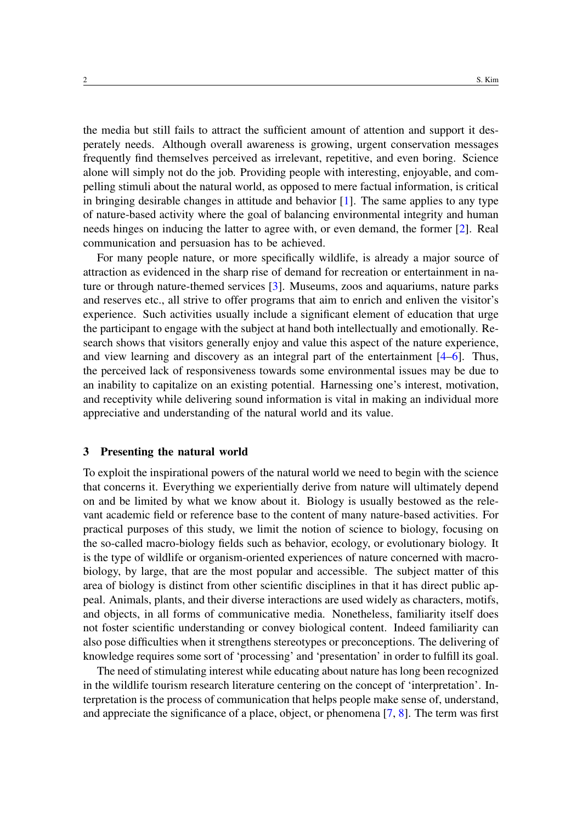the media but still fails to attract the sufficient amount of attention and support it desperately needs. Although overall awareness is growing, urgent conservation messages frequently find themselves perceived as irrelevant, repetitive, and even boring. Science alone will simply not do the job. Providing people with interesting, enjoyable, and compelling stimuli about the natural world, as opposed to mere factual information, is critical in bringing desirable changes in attitude and behavior [\[1\]](#page-14-0). The same applies to any type of nature-based activity where the goal of balancing environmental integrity and human needs hinges on inducing the latter to agree with, or even demand, the former [\[2\]](#page-14-1). Real communication and persuasion has to be achieved.

For many people nature, or more specifically wildlife, is already a major source of attraction as evidenced in the sharp rise of demand for recreation or entertainment in nature or through nature-themed services [\[3\]](#page-14-2). Museums, zoos and aquariums, nature parks and reserves etc., all strive to offer programs that aim to enrich and enliven the visitor's experience. Such activities usually include a significant element of education that urge the participant to engage with the subject at hand both intellectually and emotionally. Research shows that visitors generally enjoy and value this aspect of the nature experience, and view learning and discovery as an integral part of the entertainment [\[4–](#page-14-3)[6\]](#page-14-4). Thus, the perceived lack of responsiveness towards some environmental issues may be due to an inability to capitalize on an existing potential. Harnessing one's interest, motivation, and receptivity while delivering sound information is vital in making an individual more appreciative and understanding of the natural world and its value.

#### 3 Presenting the natural world

To exploit the inspirational powers of the natural world we need to begin with the science that concerns it. Everything we experientially derive from nature will ultimately depend on and be limited by what we know about it. Biology is usually bestowed as the relevant academic field or reference base to the content of many nature-based activities. For practical purposes of this study, we limit the notion of science to biology, focusing on the so-called macro-biology fields such as behavior, ecology, or evolutionary biology. It is the type of wildlife or organism-oriented experiences of nature concerned with macrobiology, by large, that are the most popular and accessible. The subject matter of this area of biology is distinct from other scientific disciplines in that it has direct public appeal. Animals, plants, and their diverse interactions are used widely as characters, motifs, and objects, in all forms of communicative media. Nonetheless, familiarity itself does not foster scientific understanding or convey biological content. Indeed familiarity can also pose difficulties when it strengthens stereotypes or preconceptions. The delivering of knowledge requires some sort of 'processing' and 'presentation' in order to fulfill its goal.

The need of stimulating interest while educating about nature has long been recognized in the wildlife tourism research literature centering on the concept of 'interpretation'. Interpretation is the process of communication that helps people make sense of, understand, and appreciate the significance of a place, object, or phenomena [\[7,](#page-14-5) [8\]](#page-14-6). The term was first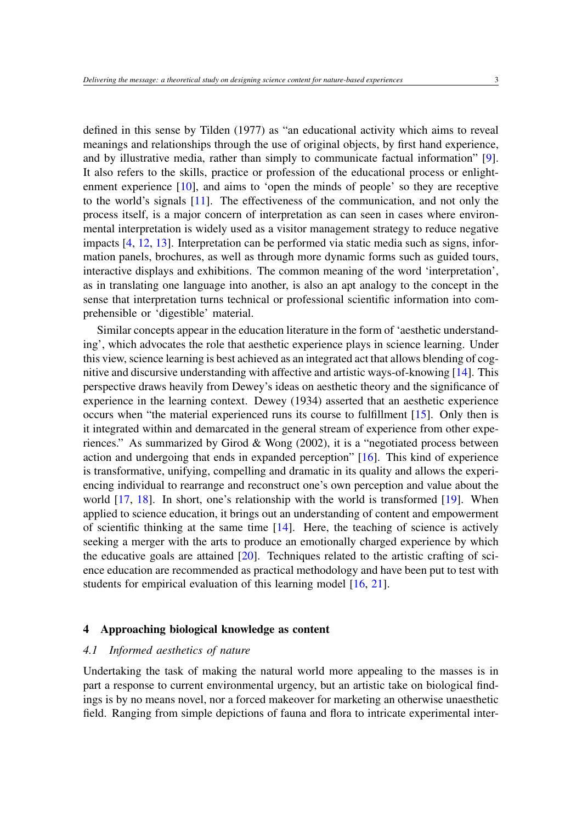defined in this sense by Tilden (1977) as "an educational activity which aims to reveal meanings and relationships through the use of original objects, by first hand experience, and by illustrative media, rather than simply to communicate factual information" [\[9\]](#page-14-7). It also refers to the skills, practice or profession of the educational process or enlightenment experience [\[10\]](#page-14-8), and aims to 'open the minds of people' so they are receptive to the world's signals [\[11\]](#page-14-9). The effectiveness of the communication, and not only the process itself, is a major concern of interpretation as can seen in cases where environmental interpretation is widely used as a visitor management strategy to reduce negative impacts [\[4,](#page-14-3) [12,](#page-14-10) [13\]](#page-14-11). Interpretation can be performed via static media such as signs, information panels, brochures, as well as through more dynamic forms such as guided tours, interactive displays and exhibitions. The common meaning of the word 'interpretation', as in translating one language into another, is also an apt analogy to the concept in the sense that interpretation turns technical or professional scientific information into comprehensible or 'digestible' material.

Similar concepts appear in the education literature in the form of 'aesthetic understanding', which advocates the role that aesthetic experience plays in science learning. Under this view, science learning is best achieved as an integrated act that allows blending of cognitive and discursive understanding with affective and artistic ways-of-knowing [\[14\]](#page-14-12). This perspective draws heavily from Dewey's ideas on aesthetic theory and the significance of experience in the learning context. Dewey (1934) asserted that an aesthetic experience occurs when "the material experienced runs its course to fulfillment [\[15\]](#page-14-13). Only then is it integrated within and demarcated in the general stream of experience from other experiences." As summarized by Girod & Wong (2002), it is a "negotiated process between action and undergoing that ends in expanded perception" [\[16\]](#page-14-14). This kind of experience is transformative, unifying, compelling and dramatic in its quality and allows the experiencing individual to rearrange and reconstruct one's own perception and value about the world [\[17,](#page-14-15) [18\]](#page-14-16). In short, one's relationship with the world is transformed [\[19\]](#page-14-17). When applied to science education, it brings out an understanding of content and empowerment of scientific thinking at the same time [\[14\]](#page-14-12). Here, the teaching of science is actively seeking a merger with the arts to produce an emotionally charged experience by which the educative goals are attained [\[20\]](#page-14-18). Techniques related to the artistic crafting of science education are recommended as practical methodology and have been put to test with students for empirical evaluation of this learning model [\[16,](#page-14-14) [21\]](#page-14-19).

#### 4 Approaching biological knowledge as content

#### *4.1 Informed aesthetics of nature*

Undertaking the task of making the natural world more appealing to the masses is in part a response to current environmental urgency, but an artistic take on biological findings is by no means novel, nor a forced makeover for marketing an otherwise unaesthetic field. Ranging from simple depictions of fauna and flora to intricate experimental inter-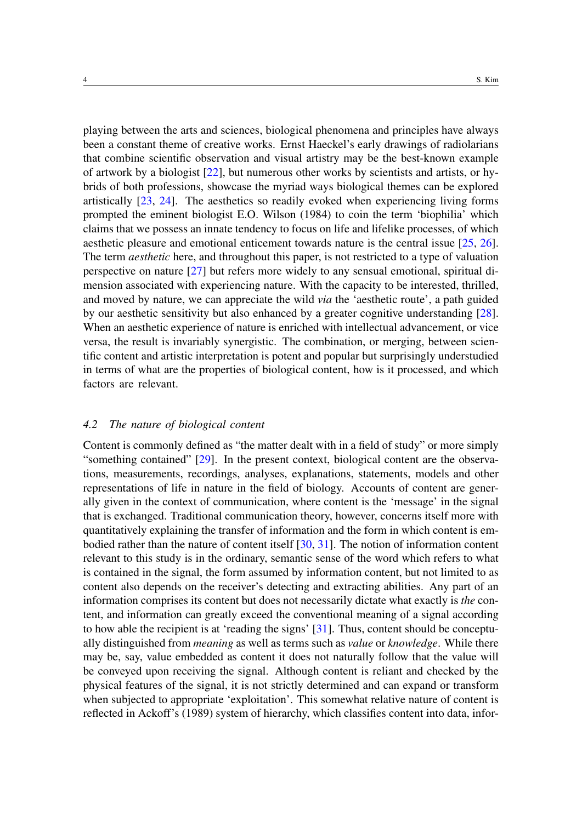playing between the arts and sciences, biological phenomena and principles have always been a constant theme of creative works. Ernst Haeckel's early drawings of radiolarians that combine scientific observation and visual artistry may be the best-known example of artwork by a biologist [\[22\]](#page-14-20), but numerous other works by scientists and artists, or hybrids of both professions, showcase the myriad ways biological themes can be explored artistically [\[23,](#page-14-21) [24\]](#page-14-22). The aesthetics so readily evoked when experiencing living forms prompted the eminent biologist E.O. Wilson (1984) to coin the term 'biophilia' which claims that we possess an innate tendency to focus on life and lifelike processes, of which aesthetic pleasure and emotional enticement towards nature is the central issue [\[25,](#page-14-23) [26\]](#page-15-0). The term *aesthetic* here, and throughout this paper, is not restricted to a type of valuation perspective on nature [\[27\]](#page-15-1) but refers more widely to any sensual emotional, spiritual dimension associated with experiencing nature. With the capacity to be interested, thrilled, and moved by nature, we can appreciate the wild *via* the 'aesthetic route', a path guided by our aesthetic sensitivity but also enhanced by a greater cognitive understanding [\[28\]](#page-15-2). When an aesthetic experience of nature is enriched with intellectual advancement, or vice versa, the result is invariably synergistic. The combination, or merging, between scientific content and artistic interpretation is potent and popular but surprisingly understudied in terms of what are the properties of biological content, how is it processed, and which factors are relevant.

#### *4.2 The nature of biological content*

Content is commonly defined as "the matter dealt with in a field of study" or more simply "something contained" [\[29\]](#page-15-3). In the present context, biological content are the observations, measurements, recordings, analyses, explanations, statements, models and other representations of life in nature in the field of biology. Accounts of content are generally given in the context of communication, where content is the 'message' in the signal that is exchanged. Traditional communication theory, however, concerns itself more with quantitatively explaining the transfer of information and the form in which content is embodied rather than the nature of content itself [\[30,](#page-15-4) [31\]](#page-15-5). The notion of information content relevant to this study is in the ordinary, semantic sense of the word which refers to what is contained in the signal, the form assumed by information content, but not limited to as content also depends on the receiver's detecting and extracting abilities. Any part of an information comprises its content but does not necessarily dictate what exactly is *the* content, and information can greatly exceed the conventional meaning of a signal according to how able the recipient is at 'reading the signs' [\[31\]](#page-15-5). Thus, content should be conceptually distinguished from *meaning* as well as terms such as *value* or *knowledge*. While there may be, say, value embedded as content it does not naturally follow that the value will be conveyed upon receiving the signal. Although content is reliant and checked by the physical features of the signal, it is not strictly determined and can expand or transform when subjected to appropriate 'exploitation'. This somewhat relative nature of content is reflected in Ackoff's (1989) system of hierarchy, which classifies content into data, infor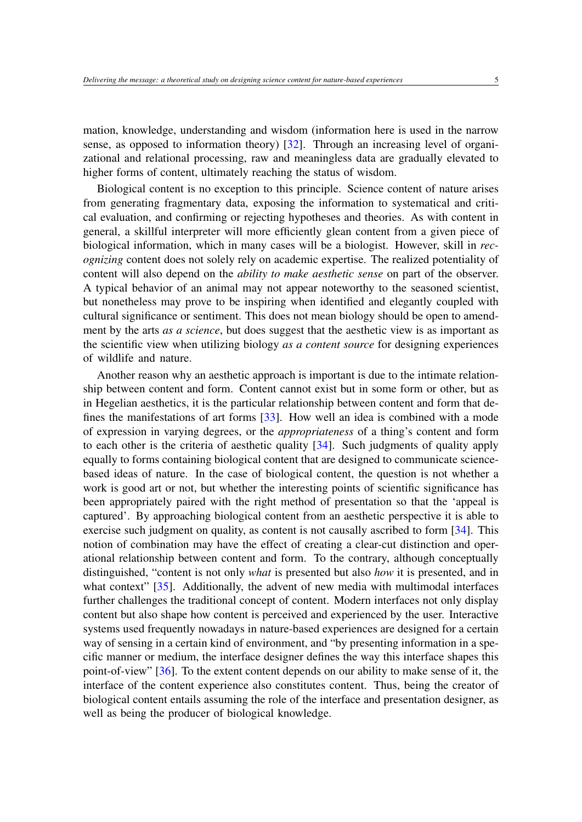mation, knowledge, understanding and wisdom (information here is used in the narrow sense, as opposed to information theory) [\[32\]](#page-15-6). Through an increasing level of organizational and relational processing, raw and meaningless data are gradually elevated to higher forms of content, ultimately reaching the status of wisdom.

Biological content is no exception to this principle. Science content of nature arises from generating fragmentary data, exposing the information to systematical and critical evaluation, and confirming or rejecting hypotheses and theories. As with content in general, a skillful interpreter will more efficiently glean content from a given piece of biological information, which in many cases will be a biologist. However, skill in *recognizing* content does not solely rely on academic expertise. The realized potentiality of content will also depend on the *ability to make aesthetic sense* on part of the observer. A typical behavior of an animal may not appear noteworthy to the seasoned scientist, but nonetheless may prove to be inspiring when identified and elegantly coupled with cultural significance or sentiment. This does not mean biology should be open to amendment by the arts *as a science*, but does suggest that the aesthetic view is as important as the scientific view when utilizing biology *as a content source* for designing experiences of wildlife and nature.

Another reason why an aesthetic approach is important is due to the intimate relationship between content and form. Content cannot exist but in some form or other, but as in Hegelian aesthetics, it is the particular relationship between content and form that defines the manifestations of art forms [\[33\]](#page-15-7). How well an idea is combined with a mode of expression in varying degrees, or the *appropriateness* of a thing's content and form to each other is the criteria of aesthetic quality [\[34\]](#page-15-8). Such judgments of quality apply equally to forms containing biological content that are designed to communicate sciencebased ideas of nature. In the case of biological content, the question is not whether a work is good art or not, but whether the interesting points of scientific significance has been appropriately paired with the right method of presentation so that the 'appeal is captured'. By approaching biological content from an aesthetic perspective it is able to exercise such judgment on quality, as content is not causally ascribed to form [\[34\]](#page-15-8). This notion of combination may have the effect of creating a clear-cut distinction and operational relationship between content and form. To the contrary, although conceptually distinguished, "content is not only *what* is presented but also *how* it is presented, and in what context" [\[35\]](#page-15-9). Additionally, the advent of new media with multimodal interfaces further challenges the traditional concept of content. Modern interfaces not only display content but also shape how content is perceived and experienced by the user. Interactive systems used frequently nowadays in nature-based experiences are designed for a certain way of sensing in a certain kind of environment, and "by presenting information in a specific manner or medium, the interface designer defines the way this interface shapes this point-of-view" [\[36\]](#page-15-10). To the extent content depends on our ability to make sense of it, the interface of the content experience also constitutes content. Thus, being the creator of biological content entails assuming the role of the interface and presentation designer, as well as being the producer of biological knowledge.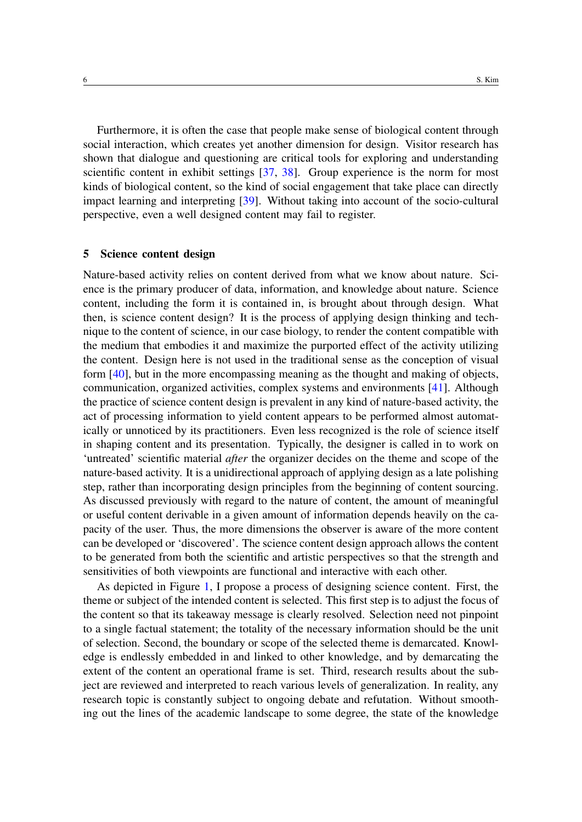Furthermore, it is often the case that people make sense of biological content through social interaction, which creates yet another dimension for design. Visitor research has shown that dialogue and questioning are critical tools for exploring and understanding scientific content in exhibit settings [\[37,](#page-15-11) [38\]](#page-15-12). Group experience is the norm for most kinds of biological content, so the kind of social engagement that take place can directly impact learning and interpreting [\[39\]](#page-15-13). Without taking into account of the socio-cultural perspective, even a well designed content may fail to register.

#### 5 Science content design

Nature-based activity relies on content derived from what we know about nature. Science is the primary producer of data, information, and knowledge about nature. Science content, including the form it is contained in, is brought about through design. What then, is science content design? It is the process of applying design thinking and technique to the content of science, in our case biology, to render the content compatible with the medium that embodies it and maximize the purported effect of the activity utilizing the content. Design here is not used in the traditional sense as the conception of visual form [\[40\]](#page-15-14), but in the more encompassing meaning as the thought and making of objects, communication, organized activities, complex systems and environments [\[41\]](#page-15-15). Although the practice of science content design is prevalent in any kind of nature-based activity, the act of processing information to yield content appears to be performed almost automatically or unnoticed by its practitioners. Even less recognized is the role of science itself in shaping content and its presentation. Typically, the designer is called in to work on 'untreated' scientific material *after* the organizer decides on the theme and scope of the nature-based activity. It is a unidirectional approach of applying design as a late polishing step, rather than incorporating design principles from the beginning of content sourcing. As discussed previously with regard to the nature of content, the amount of meaningful or useful content derivable in a given amount of information depends heavily on the capacity of the user. Thus, the more dimensions the observer is aware of the more content can be developed or 'discovered'. The science content design approach allows the content to be generated from both the scientific and artistic perspectives so that the strength and sensitivities of both viewpoints are functional and interactive with each other.

As depicted in Figure [1,](#page-6-0) I propose a process of designing science content. First, the theme or subject of the intended content is selected. This first step is to adjust the focus of the content so that its takeaway message is clearly resolved. Selection need not pinpoint to a single factual statement; the totality of the necessary information should be the unit of selection. Second, the boundary or scope of the selected theme is demarcated. Knowledge is endlessly embedded in and linked to other knowledge, and by demarcating the extent of the content an operational frame is set. Third, research results about the subject are reviewed and interpreted to reach various levels of generalization. In reality, any research topic is constantly subject to ongoing debate and refutation. Without smoothing out the lines of the academic landscape to some degree, the state of the knowledge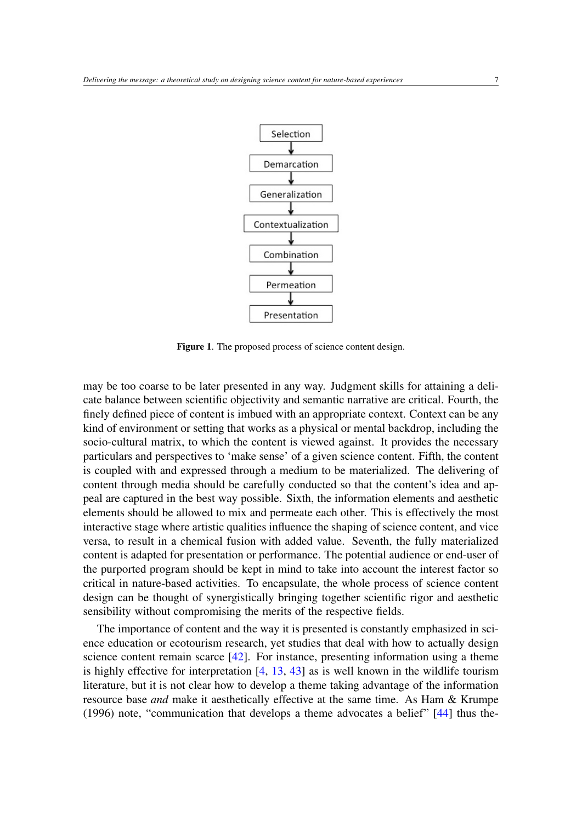

<span id="page-6-0"></span>Figure 1. The proposed process of science content design.

may be too coarse to be later presented in any way. Judgment skills for attaining a delicate balance between scientific objectivity and semantic narrative are critical. Fourth, the finely defined piece of content is imbued with an appropriate context. Context can be any kind of environment or setting that works as a physical or mental backdrop, including the socio-cultural matrix, to which the content is viewed against. It provides the necessary particulars and perspectives to 'make sense' of a given science content. Fifth, the content is coupled with and expressed through a medium to be materialized. The delivering of content through media should be carefully conducted so that the content's idea and appeal are captured in the best way possible. Sixth, the information elements and aesthetic elements should be allowed to mix and permeate each other. This is effectively the most interactive stage where artistic qualities influence the shaping of science content, and vice versa, to result in a chemical fusion with added value. Seventh, the fully materialized content is adapted for presentation or performance. The potential audience or end-user of the purported program should be kept in mind to take into account the interest factor so critical in nature-based activities. To encapsulate, the whole process of science content design can be thought of synergistically bringing together scientific rigor and aesthetic sensibility without compromising the merits of the respective fields.

The importance of content and the way it is presented is constantly emphasized in science education or ecotourism research, yet studies that deal with how to actually design science content remain scarce [\[42\]](#page-15-16). For instance, presenting information using a theme is highly effective for interpretation  $[4, 13, 43]$  $[4, 13, 43]$  $[4, 13, 43]$  $[4, 13, 43]$  $[4, 13, 43]$  as is well known in the wildlife tourism literature, but it is not clear how to develop a theme taking advantage of the information resource base *and* make it aesthetically effective at the same time. As Ham & Krumpe (1996) note, "communication that develops a theme advocates a belief" [\[44\]](#page-15-18) thus the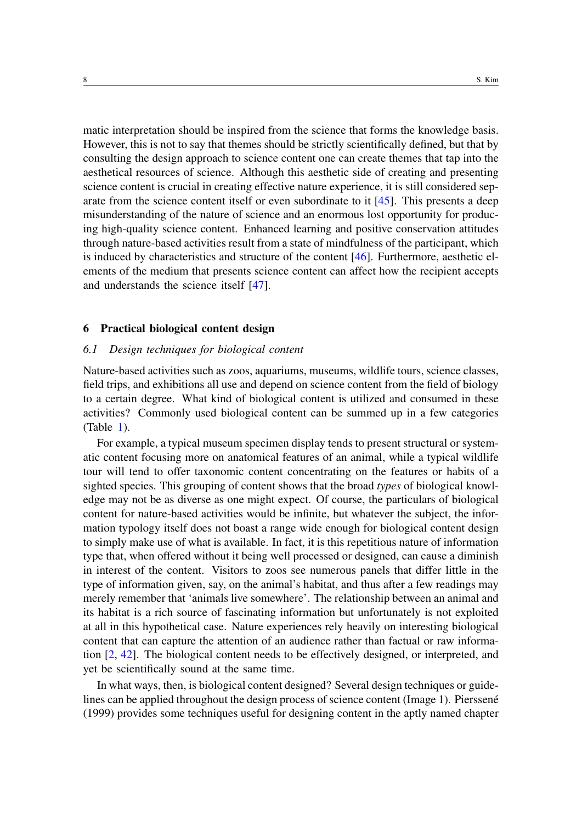matic interpretation should be inspired from the science that forms the knowledge basis. However, this is not to say that themes should be strictly scientifically defined, but that by consulting the design approach to science content one can create themes that tap into the aesthetical resources of science. Although this aesthetic side of creating and presenting science content is crucial in creating effective nature experience, it is still considered separate from the science content itself or even subordinate to it [\[45\]](#page-15-19). This presents a deep misunderstanding of the nature of science and an enormous lost opportunity for producing high-quality science content. Enhanced learning and positive conservation attitudes through nature-based activities result from a state of mindfulness of the participant, which is induced by characteristics and structure of the content  $[46]$ . Furthermore, aesthetic elements of the medium that presents science content can affect how the recipient accepts and understands the science itself [\[47\]](#page-15-21).

#### 6 Practical biological content design

#### *6.1 Design techniques for biological content*

Nature-based activities such as zoos, aquariums, museums, wildlife tours, science classes, field trips, and exhibitions all use and depend on science content from the field of biology to a certain degree. What kind of biological content is utilized and consumed in these activities? Commonly used biological content can be summed up in a few categories  $(Table 1)$  $(Table 1)$ .

For example, a typical museum specimen display tends to present structural or systematic content focusing more on anatomical features of an animal, while a typical wildlife tour will tend to offer taxonomic content concentrating on the features or habits of a sighted species. This grouping of content shows that the broad *types* of biological knowledge may not be as diverse as one might expect. Of course, the particulars of biological content for nature-based activities would be infinite, but whatever the subject, the information typology itself does not boast a range wide enough for biological content design to simply make use of what is available. In fact, it is this repetitious nature of information type that, when offered without it being well processed or designed, can cause a diminish in interest of the content. Visitors to zoos see numerous panels that differ little in the type of information given, say, on the animal's habitat, and thus after a few readings may merely remember that 'animals live somewhere'. The relationship between an animal and its habitat is a rich source of fascinating information but unfortunately is not exploited at all in this hypothetical case. Nature experiences rely heavily on interesting biological content that can capture the attention of an audience rather than factual or raw information [\[2,](#page-14-1) [42\]](#page-15-16). The biological content needs to be effectively designed, or interpreted, and yet be scientifically sound at the same time.

In what ways, then, is biological content designed? Several design techniques or guidelines can be applied throughout the design process of science content (Image 1). Pierssene (1999) provides some techniques useful for designing content in the aptly named chapter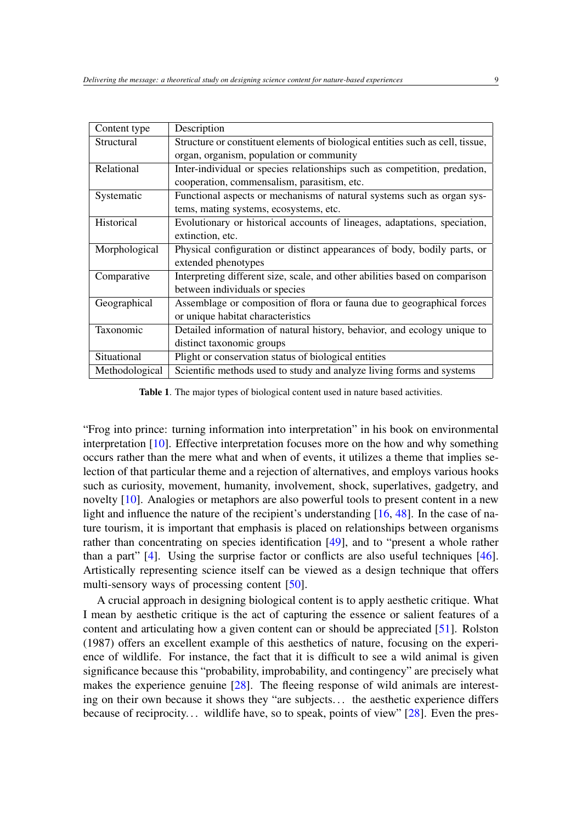| Content type   | Description                                                                    |
|----------------|--------------------------------------------------------------------------------|
| Structural     | Structure or constituent elements of biological entities such as cell, tissue, |
|                | organ, organism, population or community                                       |
| Relational     | Inter-individual or species relationships such as competition, predation,      |
|                | cooperation, commensalism, parasitism, etc.                                    |
| Systematic     | Functional aspects or mechanisms of natural systems such as organ sys-         |
|                | tems, mating systems, ecosystems, etc.                                         |
| Historical     | Evolutionary or historical accounts of lineages, adaptations, speciation,      |
|                | extinction, etc.                                                               |
| Morphological  | Physical configuration or distinct appearances of body, bodily parts, or       |
|                | extended phenotypes                                                            |
| Comparative    | Interpreting different size, scale, and other abilities based on comparison    |
|                | between individuals or species                                                 |
| Geographical   | Assemblage or composition of flora or fauna due to geographical forces         |
|                | or unique habitat characteristics                                              |
| Taxonomic      | Detailed information of natural history, behavior, and ecology unique to       |
|                | distinct taxonomic groups                                                      |
| Situational    | Plight or conservation status of biological entities                           |
| Methodological | Scientific methods used to study and analyze living forms and systems          |

<span id="page-8-0"></span>Table 1. The major types of biological content used in nature based activities.

"Frog into prince: turning information into interpretation" in his book on environmental interpretation [\[10\]](#page-14-8). Effective interpretation focuses more on the how and why something occurs rather than the mere what and when of events, it utilizes a theme that implies selection of that particular theme and a rejection of alternatives, and employs various hooks such as curiosity, movement, humanity, involvement, shock, superlatives, gadgetry, and novelty [\[10\]](#page-14-8). Analogies or metaphors are also powerful tools to present content in a new light and influence the nature of the recipient's understanding [\[16,](#page-14-14) [48\]](#page-15-22). In the case of nature tourism, it is important that emphasis is placed on relationships between organisms rather than concentrating on species identification [\[49\]](#page-15-23), and to "present a whole rather than a part" [\[4\]](#page-14-3). Using the surprise factor or conflicts are also useful techniques [\[46\]](#page-15-20). Artistically representing science itself can be viewed as a design technique that offers multi-sensory ways of processing content [\[50\]](#page-16-0).

A crucial approach in designing biological content is to apply aesthetic critique. What I mean by aesthetic critique is the act of capturing the essence or salient features of a content and articulating how a given content can or should be appreciated [\[51\]](#page-16-1). Rolston (1987) offers an excellent example of this aesthetics of nature, focusing on the experience of wildlife. For instance, the fact that it is difficult to see a wild animal is given significance because this "probability, improbability, and contingency" are precisely what makes the experience genuine [\[28\]](#page-15-2). The fleeing response of wild animals are interesting on their own because it shows they "are subjects. . . the aesthetic experience differs because of reciprocity... wildlife have, so to speak, points of view" [\[28\]](#page-15-2). Even the pres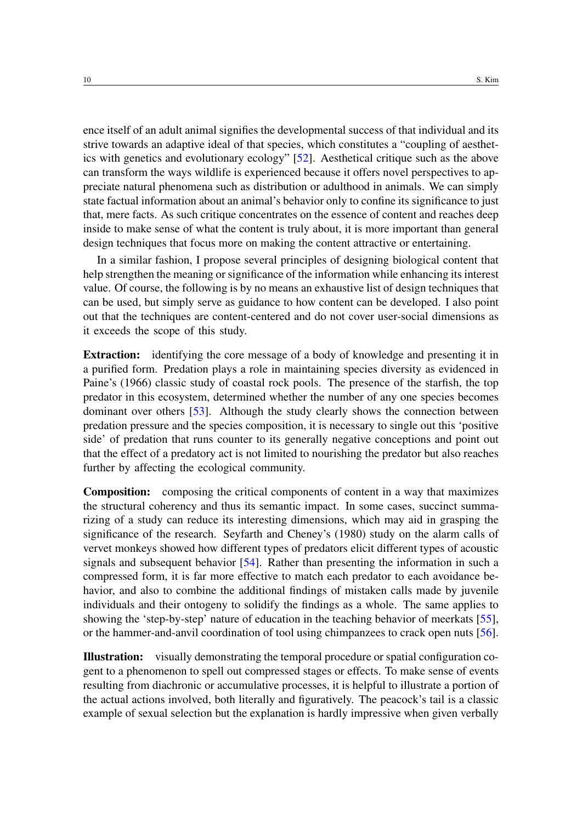ence itself of an adult animal signifies the developmental success of that individual and its strive towards an adaptive ideal of that species, which constitutes a "coupling of aesthetics with genetics and evolutionary ecology" [\[52\]](#page-16-2). Aesthetical critique such as the above can transform the ways wildlife is experienced because it offers novel perspectives to appreciate natural phenomena such as distribution or adulthood in animals. We can simply state factual information about an animal's behavior only to confine its significance to just that, mere facts. As such critique concentrates on the essence of content and reaches deep inside to make sense of what the content is truly about, it is more important than general design techniques that focus more on making the content attractive or entertaining.

In a similar fashion, I propose several principles of designing biological content that help strengthen the meaning or significance of the information while enhancing its interest value. Of course, the following is by no means an exhaustive list of design techniques that can be used, but simply serve as guidance to how content can be developed. I also point out that the techniques are content-centered and do not cover user-social dimensions as it exceeds the scope of this study.

Extraction: identifying the core message of a body of knowledge and presenting it in a purified form. Predation plays a role in maintaining species diversity as evidenced in Paine's (1966) classic study of coastal rock pools. The presence of the starfish, the top predator in this ecosystem, determined whether the number of any one species becomes dominant over others [\[53\]](#page-16-3). Although the study clearly shows the connection between predation pressure and the species composition, it is necessary to single out this 'positive side' of predation that runs counter to its generally negative conceptions and point out that the effect of a predatory act is not limited to nourishing the predator but also reaches further by affecting the ecological community.

Composition: composing the critical components of content in a way that maximizes the structural coherency and thus its semantic impact. In some cases, succinct summarizing of a study can reduce its interesting dimensions, which may aid in grasping the significance of the research. Seyfarth and Cheney's (1980) study on the alarm calls of vervet monkeys showed how different types of predators elicit different types of acoustic signals and subsequent behavior [\[54\]](#page-16-4). Rather than presenting the information in such a compressed form, it is far more effective to match each predator to each avoidance behavior, and also to combine the additional findings of mistaken calls made by juvenile individuals and their ontogeny to solidify the findings as a whole. The same applies to showing the 'step-by-step' nature of education in the teaching behavior of meerkats [\[55\]](#page-16-5), or the hammer-and-anvil coordination of tool using chimpanzees to crack open nuts [\[56\]](#page-16-6).

Illustration: visually demonstrating the temporal procedure or spatial configuration cogent to a phenomenon to spell out compressed stages or effects. To make sense of events resulting from diachronic or accumulative processes, it is helpful to illustrate a portion of the actual actions involved, both literally and figuratively. The peacock's tail is a classic example of sexual selection but the explanation is hardly impressive when given verbally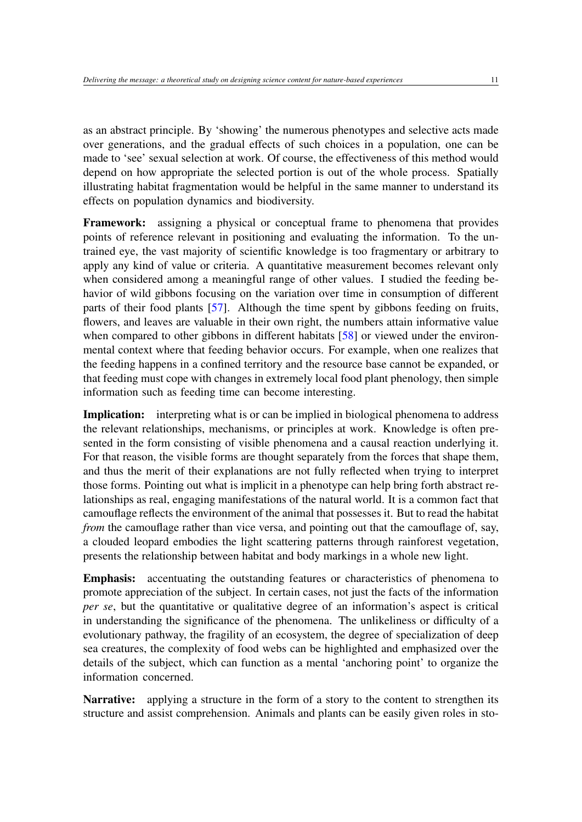as an abstract principle. By 'showing' the numerous phenotypes and selective acts made over generations, and the gradual effects of such choices in a population, one can be made to 'see' sexual selection at work. Of course, the effectiveness of this method would depend on how appropriate the selected portion is out of the whole process. Spatially illustrating habitat fragmentation would be helpful in the same manner to understand its effects on population dynamics and biodiversity.

Framework: assigning a physical or conceptual frame to phenomena that provides points of reference relevant in positioning and evaluating the information. To the untrained eye, the vast majority of scientific knowledge is too fragmentary or arbitrary to apply any kind of value or criteria. A quantitative measurement becomes relevant only when considered among a meaningful range of other values. I studied the feeding behavior of wild gibbons focusing on the variation over time in consumption of different parts of their food plants [\[57\]](#page-16-7). Although the time spent by gibbons feeding on fruits, flowers, and leaves are valuable in their own right, the numbers attain informative value when compared to other gibbons in different habitats [\[58\]](#page-16-8) or viewed under the environmental context where that feeding behavior occurs. For example, when one realizes that the feeding happens in a confined territory and the resource base cannot be expanded, or that feeding must cope with changes in extremely local food plant phenology, then simple information such as feeding time can become interesting.

Implication: interpreting what is or can be implied in biological phenomena to address the relevant relationships, mechanisms, or principles at work. Knowledge is often presented in the form consisting of visible phenomena and a causal reaction underlying it. For that reason, the visible forms are thought separately from the forces that shape them, and thus the merit of their explanations are not fully reflected when trying to interpret those forms. Pointing out what is implicit in a phenotype can help bring forth abstract relationships as real, engaging manifestations of the natural world. It is a common fact that camouflage reflects the environment of the animal that possesses it. But to read the habitat *from* the camouflage rather than vice versa, and pointing out that the camouflage of, say, a clouded leopard embodies the light scattering patterns through rainforest vegetation, presents the relationship between habitat and body markings in a whole new light.

Emphasis: accentuating the outstanding features or characteristics of phenomena to promote appreciation of the subject. In certain cases, not just the facts of the information *per se*, but the quantitative or qualitative degree of an information's aspect is critical in understanding the significance of the phenomena. The unlikeliness or difficulty of a evolutionary pathway, the fragility of an ecosystem, the degree of specialization of deep sea creatures, the complexity of food webs can be highlighted and emphasized over the details of the subject, which can function as a mental 'anchoring point' to organize the information concerned.

Narrative: applying a structure in the form of a story to the content to strengthen its structure and assist comprehension. Animals and plants can be easily given roles in sto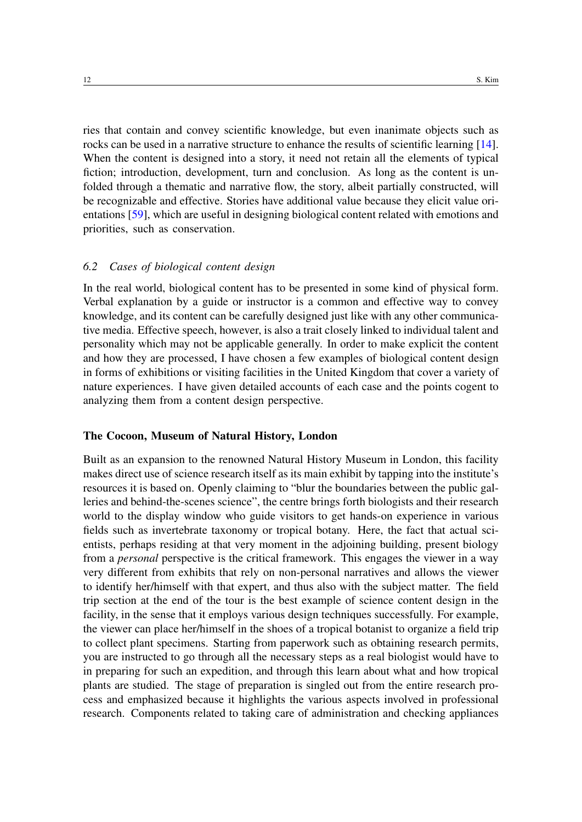ries that contain and convey scientific knowledge, but even inanimate objects such as rocks can be used in a narrative structure to enhance the results of scientific learning [\[14\]](#page-14-12). When the content is designed into a story, it need not retain all the elements of typical fiction; introduction, development, turn and conclusion. As long as the content is unfolded through a thematic and narrative flow, the story, albeit partially constructed, will be recognizable and effective. Stories have additional value because they elicit value orientations [\[59\]](#page-16-9), which are useful in designing biological content related with emotions and priorities, such as conservation.

#### *6.2 Cases of biological content design*

In the real world, biological content has to be presented in some kind of physical form. Verbal explanation by a guide or instructor is a common and effective way to convey knowledge, and its content can be carefully designed just like with any other communicative media. Effective speech, however, is also a trait closely linked to individual talent and personality which may not be applicable generally. In order to make explicit the content and how they are processed, I have chosen a few examples of biological content design in forms of exhibitions or visiting facilities in the United Kingdom that cover a variety of nature experiences. I have given detailed accounts of each case and the points cogent to analyzing them from a content design perspective.

#### The Cocoon, Museum of Natural History, London

Built as an expansion to the renowned Natural History Museum in London, this facility makes direct use of science research itself as its main exhibit by tapping into the institute's resources it is based on. Openly claiming to "blur the boundaries between the public galleries and behind-the-scenes science", the centre brings forth biologists and their research world to the display window who guide visitors to get hands-on experience in various fields such as invertebrate taxonomy or tropical botany. Here, the fact that actual scientists, perhaps residing at that very moment in the adjoining building, present biology from a *personal* perspective is the critical framework. This engages the viewer in a way very different from exhibits that rely on non-personal narratives and allows the viewer to identify her/himself with that expert, and thus also with the subject matter. The field trip section at the end of the tour is the best example of science content design in the facility, in the sense that it employs various design techniques successfully. For example, the viewer can place her/himself in the shoes of a tropical botanist to organize a field trip to collect plant specimens. Starting from paperwork such as obtaining research permits, you are instructed to go through all the necessary steps as a real biologist would have to in preparing for such an expedition, and through this learn about what and how tropical plants are studied. The stage of preparation is singled out from the entire research process and emphasized because it highlights the various aspects involved in professional research. Components related to taking care of administration and checking appliances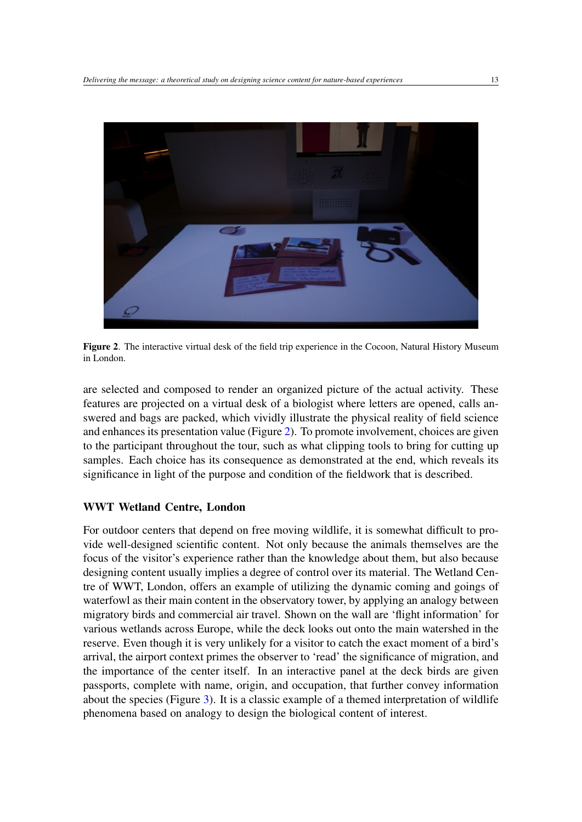

Figure 2. The interactive virtual desk of the field trip experience in the Cocoon, Natural History Museum in London.

<span id="page-12-0"></span>are selected and composed to render an organized picture of the actual activity. These features are projected on a virtual desk of a biologist where letters are opened, calls answered and bags are packed, which vividly illustrate the physical reality of field science and enhances its presentation value (Figure [2\)](#page-12-0). To promote involvement, choices are given to the participant throughout the tour, such as what clipping tools to bring for cutting up samples. Each choice has its consequence as demonstrated at the end, which reveals its significance in light of the purpose and condition of the fieldwork that is described.

#### WWT Wetland Centre, London

For outdoor centers that depend on free moving wildlife, it is somewhat difficult to provide well-designed scientific content. Not only because the animals themselves are the focus of the visitor's experience rather than the knowledge about them, but also because designing content usually implies a degree of control over its material. The Wetland Centre of WWT, London, offers an example of utilizing the dynamic coming and goings of waterfowl as their main content in the observatory tower, by applying an analogy between migratory birds and commercial air travel. Shown on the wall are 'flight information' for various wetlands across Europe, while the deck looks out onto the main watershed in the reserve. Even though it is very unlikely for a visitor to catch the exact moment of a bird's arrival, the airport context primes the observer to 'read' the significance of migration, and the importance of the center itself. In an interactive panel at the deck birds are given passports, complete with name, origin, and occupation, that further convey information about the species (Figure [3\)](#page-13-0). It is a classic example of a themed interpretation of wildlife phenomena based on analogy to design the biological content of interest.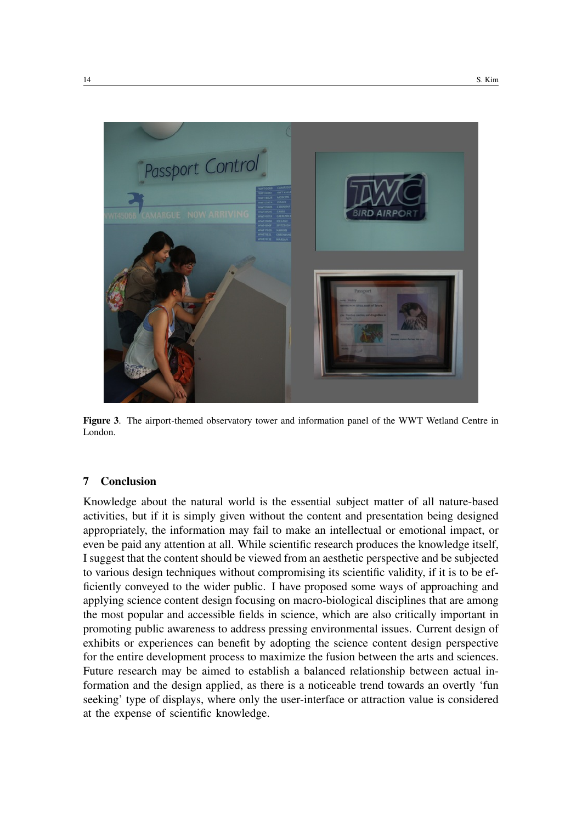

Figure 3. The airport-themed observatory tower and information panel of the WWT Wetland Centre in London.

#### <span id="page-13-0"></span>7 Conclusion

Knowledge about the natural world is the essential subject matter of all nature-based activities, but if it is simply given without the content and presentation being designed appropriately, the information may fail to make an intellectual or emotional impact, or even be paid any attention at all. While scientific research produces the knowledge itself, I suggest that the content should be viewed from an aesthetic perspective and be subjected to various design techniques without compromising its scientific validity, if it is to be efficiently conveyed to the wider public. I have proposed some ways of approaching and applying science content design focusing on macro-biological disciplines that are among the most popular and accessible fields in science, which are also critically important in promoting public awareness to address pressing environmental issues. Current design of exhibits or experiences can benefit by adopting the science content design perspective for the entire development process to maximize the fusion between the arts and sciences. Future research may be aimed to establish a balanced relationship between actual information and the design applied, as there is a noticeable trend towards an overtly 'fun seeking' type of displays, where only the user-interface or attraction value is considered at the expense of scientific knowledge.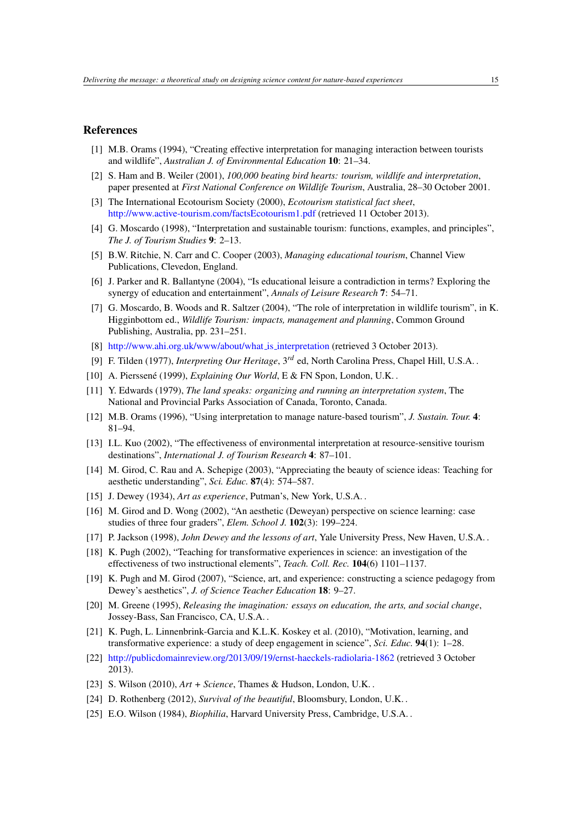#### References

- <span id="page-14-0"></span>[1] M.B. Orams (1994), "Creating effective interpretation for managing interaction between tourists and wildlife", *Australian J. of Environmental Education* 10: 21–34.
- <span id="page-14-1"></span>[2] S. Ham and B. Weiler (2001), *100,000 beating bird hearts: tourism, wildlife and interpretation*, paper presented at *First National Conference on Wildlife Tourism*, Australia, 28–30 October 2001.
- <span id="page-14-2"></span>[3] The International Ecotourism Society (2000), *Ecotourism statistical fact sheet*, <http://www.active-tourism.com/factsEcotourism1.pdf> (retrieved 11 October 2013).
- <span id="page-14-3"></span>[4] G. Moscardo (1998), "Interpretation and sustainable tourism: functions, examples, and principles", *The J. of Tourism Studies* 9: 2–13.
- [5] B.W. Ritchie, N. Carr and C. Cooper (2003), *Managing educational tourism*, Channel View Publications, Clevedon, England.
- <span id="page-14-4"></span>[6] J. Parker and R. Ballantyne (2004), "Is educational leisure a contradiction in terms? Exploring the synergy of education and entertainment", *Annals of Leisure Research* 7: 54–71.
- <span id="page-14-5"></span>[7] G. Moscardo, B. Woods and R. Saltzer (2004), "The role of interpretation in wildlife tourism", in K. Higginbottom ed., *Wildlife Tourism: impacts, management and planning*, Common Ground Publishing, Australia, pp. 231–251.
- <span id="page-14-6"></span>[8] [http://www.ahi.org.uk/www/about/what](http://www.ahi.org.uk/www/about/what_is_interpretation)\_is\_interpretation (retrieved 3 October 2013).
- <span id="page-14-7"></span>[9] F. Tilden (1977), *Interpreting Our Heritage*, 3*rd* ed, North Carolina Press, Chapel Hill, U.S.A. .
- <span id="page-14-8"></span>[10] A. Pierssené (1999), *Explaining Our World*, E & FN Spon, London, U.K. .
- <span id="page-14-9"></span>[11] Y. Edwards (1979), *The land speaks: organizing and running an interpretation system*, The National and Provincial Parks Association of Canada, Toronto, Canada.
- <span id="page-14-10"></span>[12] M.B. Orams (1996), "Using interpretation to manage nature-based tourism", *J. Sustain. Tour.* 4: 81–94.
- <span id="page-14-11"></span>[13] I.L. Kuo (2002), "The effectiveness of environmental interpretation at resource-sensitive tourism destinations", *International J. of Tourism Research* 4: 87–101.
- <span id="page-14-12"></span>[14] M. Girod, C. Rau and A. Schepige (2003), "Appreciating the beauty of science ideas: Teaching for aesthetic understanding", *Sci. Educ.* 87(4): 574–587.
- <span id="page-14-13"></span>[15] J. Dewey (1934), *Art as experience*, Putman's, New York, U.S.A. .
- <span id="page-14-14"></span>[16] M. Girod and D. Wong (2002), "An aesthetic (Deweyan) perspective on science learning: case studies of three four graders", *Elem. School J.* 102(3): 199–224.
- <span id="page-14-15"></span>[17] P. Jackson (1998), *John Dewey and the lessons of art*, Yale University Press, New Haven, U.S.A. .
- <span id="page-14-16"></span>[18] K. Pugh (2002), "Teaching for transformative experiences in science: an investigation of the effectiveness of two instructional elements", *Teach. Coll. Rec.* 104(6) 1101–1137.
- <span id="page-14-17"></span>[19] K. Pugh and M. Girod (2007), "Science, art, and experience: constructing a science pedagogy from Dewey's aesthetics", *J. of Science Teacher Education* 18: 9–27.
- <span id="page-14-18"></span>[20] M. Greene (1995), *Releasing the imagination: essays on education, the arts, and social change*, Jossey-Bass, San Francisco, CA, U.S.A. .
- <span id="page-14-19"></span>[21] K. Pugh, L. Linnenbrink-Garcia and K.L.K. Koskey et al. (2010), "Motivation, learning, and transformative experience: a study of deep engagement in science", *Sci. Educ.* 94(1): 1–28.
- <span id="page-14-20"></span>[22] <http://publicdomainreview.org/2013/09/19/ernst-haeckels-radiolaria-1862> (retrieved 3 October 2013).
- <span id="page-14-21"></span>[23] S. Wilson (2010), *Art + Science*, Thames & Hudson, London, U.K. .
- <span id="page-14-22"></span>[24] D. Rothenberg (2012), *Survival of the beautiful*, Bloomsbury, London, U.K. .
- <span id="page-14-23"></span>[25] E.O. Wilson (1984), *Biophilia*, Harvard University Press, Cambridge, U.S.A. .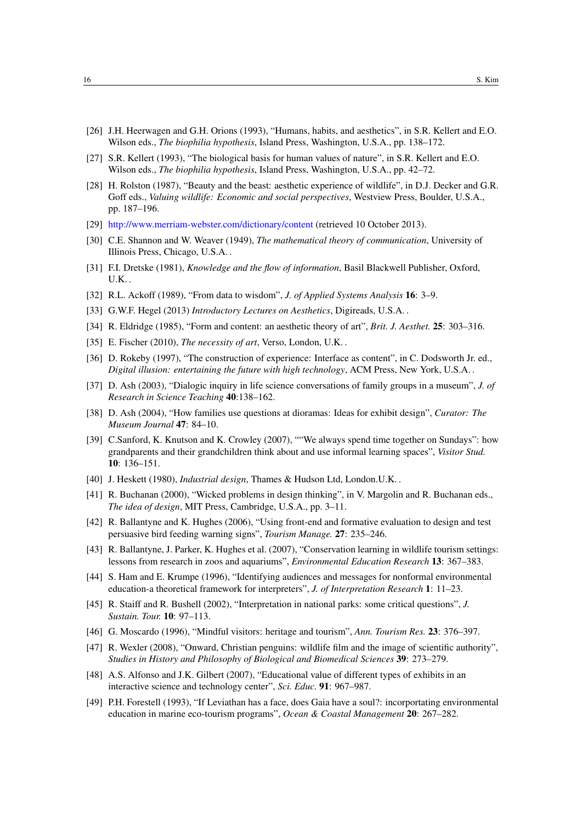- <span id="page-15-0"></span>[26] J.H. Heerwagen and G.H. Orions (1993), "Humans, habits, and aesthetics", in S.R. Kellert and E.O. Wilson eds., *The biophilia hypothesis*, Island Press, Washington, U.S.A., pp. 138–172.
- <span id="page-15-1"></span>[27] S.R. Kellert (1993), "The biological basis for human values of nature", in S.R. Kellert and E.O. Wilson eds., *The biophilia hypothesis*, Island Press, Washington, U.S.A., pp. 42–72.
- <span id="page-15-2"></span>[28] H. Rolston (1987), "Beauty and the beast: aesthetic experience of wildlife", in D.J. Decker and G.R. Goff eds., *Valuing wildlife: Economic and social perspectives*, Westview Press, Boulder, U.S.A., pp. 187–196.
- <span id="page-15-3"></span>[29] <http://www.merriam-webster.com/dictionary/content> (retrieved 10 October 2013).
- <span id="page-15-4"></span>[30] C.E. Shannon and W. Weaver (1949), *The mathematical theory of communication*, University of Illinois Press, Chicago, U.S.A. .
- <span id="page-15-5"></span>[31] F.I. Dretske (1981), *Knowledge and the flow of information*, Basil Blackwell Publisher, Oxford, U.K. .
- <span id="page-15-6"></span>[32] R.L. Ackoff (1989), "From data to wisdom", *J. of Applied Systems Analysis* 16: 3–9.
- <span id="page-15-7"></span>[33] G.W.F. Hegel (2013) *Introductory Lectures on Aesthetics*, Digireads, U.S.A. .
- <span id="page-15-8"></span>[34] R. Eldridge (1985), "Form and content: an aesthetic theory of art", *Brit. J. Aesthet.* 25: 303–316.
- <span id="page-15-9"></span>[35] E. Fischer (2010), *The necessity of art*, Verso, London, U.K. .
- <span id="page-15-10"></span>[36] D. Rokeby (1997), "The construction of experience: Interface as content", in C. Dodsworth Jr. ed., *Digital illusion: entertaining the future with high technology*, ACM Press, New York, U.S.A. .
- <span id="page-15-11"></span>[37] D. Ash (2003), "Dialogic inquiry in life science conversations of family groups in a museum", *J. of Research in Science Teaching* 40:138–162.
- <span id="page-15-12"></span>[38] D. Ash (2004), "How families use questions at dioramas: Ideas for exhibit design", *Curator: The Museum Journal* 47: 84–10.
- <span id="page-15-13"></span>[39] C.Sanford, K. Knutson and K. Crowley (2007), ""We always spend time together on Sundays": how grandparents and their grandchildren think about and use informal learning spaces", *Visitor Stud.* 10: 136–151.
- <span id="page-15-14"></span>[40] J. Heskett (1980), *Industrial design*, Thames & Hudson Ltd, London.U.K. .
- <span id="page-15-15"></span>[41] R. Buchanan (2000), "Wicked problems in design thinking", in V. Margolin and R. Buchanan eds., *The idea of design*, MIT Press, Cambridge, U.S.A., pp. 3–11.
- <span id="page-15-16"></span>[42] R. Ballantyne and K. Hughes (2006), "Using front-end and formative evaluation to design and test persuasive bird feeding warning signs", *Tourism Manage.* 27: 235–246.
- <span id="page-15-17"></span>[43] R. Ballantyne, J. Parker, K. Hughes et al. (2007), "Conservation learning in wildlife tourism settings: lessons from research in zoos and aquariums", *Environmental Education Research* 13: 367–383.
- <span id="page-15-18"></span>[44] S. Ham and E. Krumpe (1996), "Identifying audiences and messages for nonformal environmental education-a theoretical framework for interpreters", *J. of Interpretation Research* 1: 11–23.
- <span id="page-15-19"></span>[45] R. Staiff and R. Bushell (2002), "Interpretation in national parks: some critical questions", *J. Sustain. Tour.* 10: 97–113.
- <span id="page-15-20"></span>[46] G. Moscardo (1996), "Mindful visitors: heritage and tourism", *Ann. Tourism Res.* 23: 376–397.
- <span id="page-15-21"></span>[47] R. Wexler (2008), "Onward, Christian penguins: wildlife film and the image of scientific authority", *Studies in History and Philosophy of Biological and Biomedical Sciences* 39: 273–279.
- <span id="page-15-22"></span>[48] A.S. Alfonso and J.K. Gilbert (2007), "Educational value of different types of exhibits in an interactive science and technology center", *Sci. Educ.* 91: 967–987.
- <span id="page-15-23"></span>[49] P.H. Forestell (1993), "If Leviathan has a face, does Gaia have a soul?: incorportating environmental education in marine eco-tourism programs", *Ocean & Coastal Management* 20: 267–282.